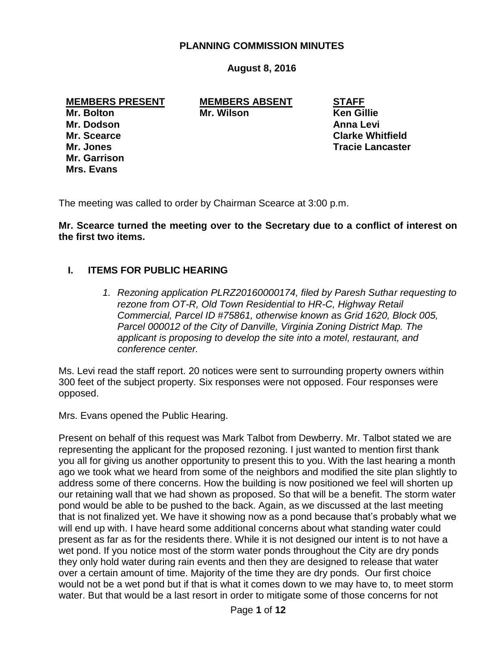### **PLANNING COMMISSION MINUTES**

## **August 8, 2016**

#### **MEMBERS PRESENT MEMBERS ABSENT STAFF**

**Mr. Dodson Anna Levi Mr. Garrison Mrs. Evans**

**Mr. Bolton Mr. Wilson Ken Gillie**

**Mr. Scearce Clarke Whitfield Mr. Jones Tracie Lancaster**

The meeting was called to order by Chairman Scearce at 3:00 p.m.

**Mr. Scearce turned the meeting over to the Secretary due to a conflict of interest on the first two items.** 

# **I. ITEMS FOR PUBLIC HEARING**

*1. Rezoning application PLRZ20160000174, filed by Paresh Suthar requesting to rezone from OT-R, Old Town Residential to HR-C, Highway Retail Commercial, Parcel ID #75861, otherwise known as Grid 1620, Block 005, Parcel 000012 of the City of Danville, Virginia Zoning District Map. The applicant is proposing to develop the site into a motel, restaurant, and conference center.* 

Ms. Levi read the staff report. 20 notices were sent to surrounding property owners within 300 feet of the subject property. Six responses were not opposed. Four responses were opposed.

Mrs. Evans opened the Public Hearing.

Present on behalf of this request was Mark Talbot from Dewberry. Mr. Talbot stated we are representing the applicant for the proposed rezoning. I just wanted to mention first thank you all for giving us another opportunity to present this to you. With the last hearing a month ago we took what we heard from some of the neighbors and modified the site plan slightly to address some of there concerns. How the building is now positioned we feel will shorten up our retaining wall that we had shown as proposed. So that will be a benefit. The storm water pond would be able to be pushed to the back. Again, as we discussed at the last meeting that is not finalized yet. We have it showing now as a pond because that's probably what we will end up with. I have heard some additional concerns about what standing water could present as far as for the residents there. While it is not designed our intent is to not have a wet pond. If you notice most of the storm water ponds throughout the City are dry ponds they only hold water during rain events and then they are designed to release that water over a certain amount of time. Majority of the time they are dry ponds. Our first choice would not be a wet pond but if that is what it comes down to we may have to, to meet storm water. But that would be a last resort in order to mitigate some of those concerns for not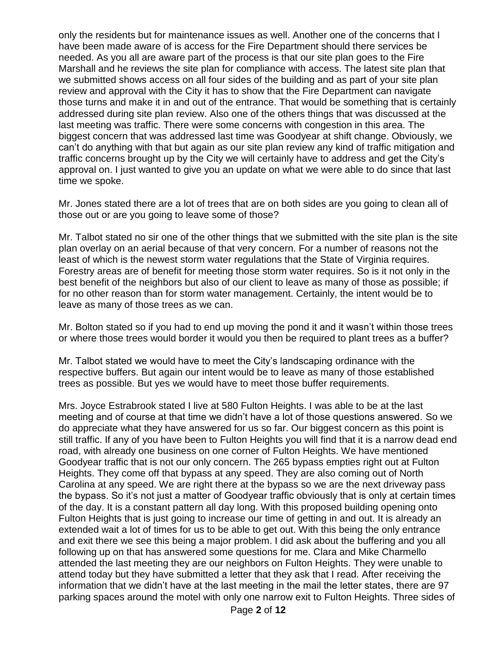only the residents but for maintenance issues as well. Another one of the concerns that I have been made aware of is access for the Fire Department should there services be needed. As you all are aware part of the process is that our site plan goes to the Fire Marshall and he reviews the site plan for compliance with access. The latest site plan that we submitted shows access on all four sides of the building and as part of your site plan review and approval with the City it has to show that the Fire Department can navigate those turns and make it in and out of the entrance. That would be something that is certainly addressed during site plan review. Also one of the others things that was discussed at the last meeting was traffic. There were some concerns with congestion in this area. The biggest concern that was addressed last time was Goodyear at shift change. Obviously, we can't do anything with that but again as our site plan review any kind of traffic mitigation and traffic concerns brought up by the City we will certainly have to address and get the City's approval on. I just wanted to give you an update on what we were able to do since that last time we spoke.

Mr. Jones stated there are a lot of trees that are on both sides are you going to clean all of those out or are you going to leave some of those?

Mr. Talbot stated no sir one of the other things that we submitted with the site plan is the site plan overlay on an aerial because of that very concern. For a number of reasons not the least of which is the newest storm water regulations that the State of Virginia requires. Forestry areas are of benefit for meeting those storm water requires. So is it not only in the best benefit of the neighbors but also of our client to leave as many of those as possible; if for no other reason than for storm water management. Certainly, the intent would be to leave as many of those trees as we can.

Mr. Bolton stated so if you had to end up moving the pond it and it wasn't within those trees or where those trees would border it would you then be required to plant trees as a buffer?

Mr. Talbot stated we would have to meet the City's landscaping ordinance with the respective buffers. But again our intent would be to leave as many of those established trees as possible. But yes we would have to meet those buffer requirements.

Mrs. Joyce Estrabrook stated I live at 580 Fulton Heights. I was able to be at the last meeting and of course at that time we didn't have a lot of those questions answered. So we do appreciate what they have answered for us so far. Our biggest concern as this point is still traffic. If any of you have been to Fulton Heights you will find that it is a narrow dead end road, with already one business on one corner of Fulton Heights. We have mentioned Goodyear traffic that is not our only concern. The 265 bypass empties right out at Fulton Heights. They come off that bypass at any speed. They are also coming out of North Carolina at any speed. We are right there at the bypass so we are the next driveway pass the bypass. So it's not just a matter of Goodyear traffic obviously that is only at certain times of the day. It is a constant pattern all day long. With this proposed building opening onto Fulton Heights that is just going to increase our time of getting in and out. It is already an extended wait a lot of times for us to be able to get out. With this being the only entrance and exit there we see this being a major problem. I did ask about the buffering and you all following up on that has answered some questions for me. Clara and Mike Charmello attended the last meeting they are our neighbors on Fulton Heights. They were unable to attend today but they have submitted a letter that they ask that I read. After receiving the information that we didn't have at the last meeting in the mail the letter states, there are 97 parking spaces around the motel with only one narrow exit to Fulton Heights. Three sides of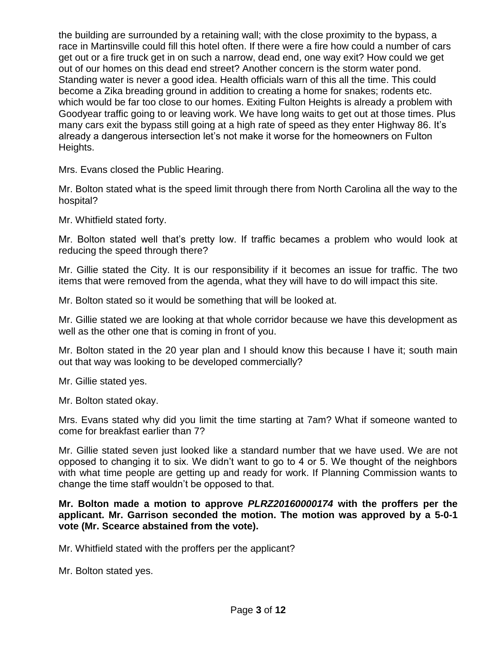the building are surrounded by a retaining wall; with the close proximity to the bypass, a race in Martinsville could fill this hotel often. If there were a fire how could a number of cars get out or a fire truck get in on such a narrow, dead end, one way exit? How could we get out of our homes on this dead end street? Another concern is the storm water pond. Standing water is never a good idea. Health officials warn of this all the time. This could become a Zika breading ground in addition to creating a home for snakes; rodents etc. which would be far too close to our homes. Exiting Fulton Heights is already a problem with Goodyear traffic going to or leaving work. We have long waits to get out at those times. Plus many cars exit the bypass still going at a high rate of speed as they enter Highway 86. It's already a dangerous intersection let's not make it worse for the homeowners on Fulton Heights.

Mrs. Evans closed the Public Hearing.

Mr. Bolton stated what is the speed limit through there from North Carolina all the way to the hospital?

Mr. Whitfield stated forty.

Mr. Bolton stated well that's pretty low. If traffic becames a problem who would look at reducing the speed through there?

Mr. Gillie stated the City. It is our responsibility if it becomes an issue for traffic. The two items that were removed from the agenda, what they will have to do will impact this site.

Mr. Bolton stated so it would be something that will be looked at.

Mr. Gillie stated we are looking at that whole corridor because we have this development as well as the other one that is coming in front of you.

Mr. Bolton stated in the 20 year plan and I should know this because I have it; south main out that way was looking to be developed commercially?

Mr. Gillie stated yes.

Mr. Bolton stated okay.

Mrs. Evans stated why did you limit the time starting at 7am? What if someone wanted to come for breakfast earlier than 7?

Mr. Gillie stated seven just looked like a standard number that we have used. We are not opposed to changing it to six. We didn't want to go to 4 or 5. We thought of the neighbors with what time people are getting up and ready for work. If Planning Commission wants to change the time staff wouldn't be opposed to that.

**Mr. Bolton made a motion to approve** *PLRZ20160000174* **with the proffers per the applicant. Mr. Garrison seconded the motion. The motion was approved by a 5-0-1 vote (Mr. Scearce abstained from the vote).**

Mr. Whitfield stated with the proffers per the applicant?

Mr. Bolton stated yes.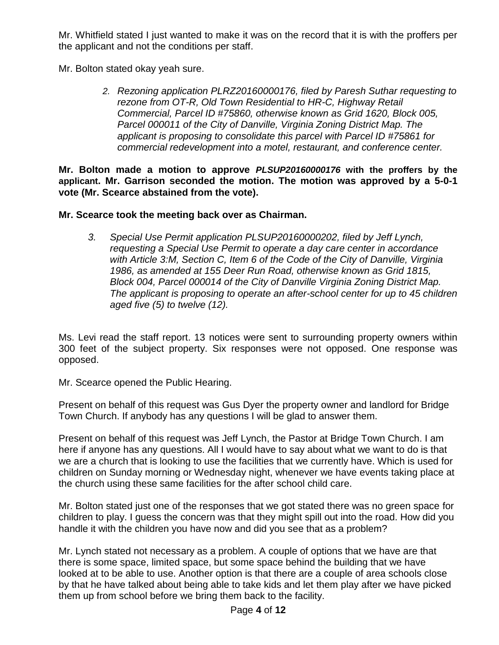Mr. Whitfield stated I just wanted to make it was on the record that it is with the proffers per the applicant and not the conditions per staff.

Mr. Bolton stated okay yeah sure.

*2. Rezoning application PLRZ20160000176, filed by Paresh Suthar requesting to rezone from OT-R, Old Town Residential to HR-C, Highway Retail Commercial, Parcel ID #75860, otherwise known as Grid 1620, Block 005, Parcel 000011 of the City of Danville, Virginia Zoning District Map. The applicant is proposing to consolidate this parcel with Parcel ID #75861 for commercial redevelopment into a motel, restaurant, and conference center.*

**Mr. Bolton made a motion to approve** *PLSUP20160000176* **with the proffers by the applicant. Mr. Garrison seconded the motion. The motion was approved by a 5-0-1 vote (Mr. Scearce abstained from the vote).**

**Mr. Scearce took the meeting back over as Chairman.** 

*3. Special Use Permit application PLSUP20160000202, filed by Jeff Lynch, requesting a Special Use Permit to operate a day care center in accordance with Article 3:M, Section C, Item 6 of the Code of the City of Danville, Virginia 1986, as amended at 155 Deer Run Road, otherwise known as Grid 1815, Block 004, Parcel 000014 of the City of Danville Virginia Zoning District Map. The applicant is proposing to operate an after-school center for up to 45 children aged five (5) to twelve (12).*

Ms. Levi read the staff report. 13 notices were sent to surrounding property owners within 300 feet of the subject property. Six responses were not opposed. One response was opposed.

Mr. Scearce opened the Public Hearing.

Present on behalf of this request was Gus Dyer the property owner and landlord for Bridge Town Church. If anybody has any questions I will be glad to answer them.

Present on behalf of this request was Jeff Lynch, the Pastor at Bridge Town Church. I am here if anyone has any questions. All I would have to say about what we want to do is that we are a church that is looking to use the facilities that we currently have. Which is used for children on Sunday morning or Wednesday night, whenever we have events taking place at the church using these same facilities for the after school child care.

Mr. Bolton stated just one of the responses that we got stated there was no green space for children to play. I guess the concern was that they might spill out into the road. How did you handle it with the children you have now and did you see that as a problem?

Mr. Lynch stated not necessary as a problem. A couple of options that we have are that there is some space, limited space, but some space behind the building that we have looked at to be able to use. Another option is that there are a couple of area schools close by that he have talked about being able to take kids and let them play after we have picked them up from school before we bring them back to the facility.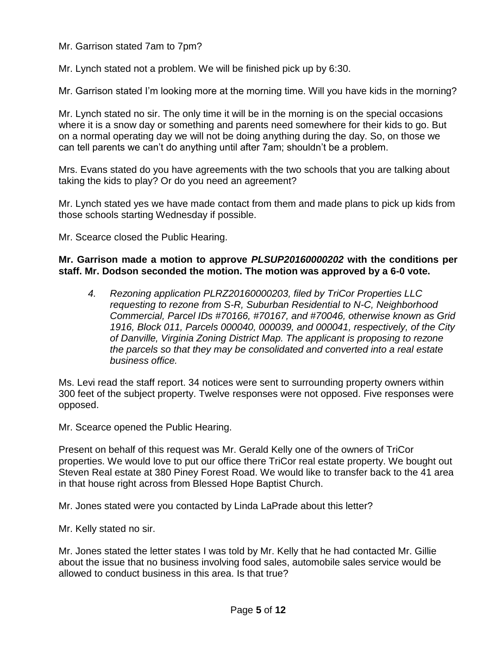Mr. Garrison stated 7am to 7pm?

Mr. Lynch stated not a problem. We will be finished pick up by 6:30.

Mr. Garrison stated I'm looking more at the morning time. Will you have kids in the morning?

Mr. Lynch stated no sir. The only time it will be in the morning is on the special occasions where it is a snow day or something and parents need somewhere for their kids to go. But on a normal operating day we will not be doing anything during the day. So, on those we can tell parents we can't do anything until after 7am; shouldn't be a problem.

Mrs. Evans stated do you have agreements with the two schools that you are talking about taking the kids to play? Or do you need an agreement?

Mr. Lynch stated yes we have made contact from them and made plans to pick up kids from those schools starting Wednesday if possible.

Mr. Scearce closed the Public Hearing.

## **Mr. Garrison made a motion to approve** *PLSUP20160000202* **with the conditions per staff. Mr. Dodson seconded the motion. The motion was approved by a 6-0 vote.**

*4. Rezoning application PLRZ20160000203, filed by TriCor Properties LLC requesting to rezone from S-R, Suburban Residential to N-C, Neighborhood Commercial, Parcel IDs #70166, #70167, and #70046, otherwise known as Grid 1916, Block 011, Parcels 000040, 000039, and 000041, respectively, of the City of Danville, Virginia Zoning District Map. The applicant is proposing to rezone the parcels so that they may be consolidated and converted into a real estate business office.*

Ms. Levi read the staff report. 34 notices were sent to surrounding property owners within 300 feet of the subject property. Twelve responses were not opposed. Five responses were opposed.

Mr. Scearce opened the Public Hearing.

Present on behalf of this request was Mr. Gerald Kelly one of the owners of TriCor properties. We would love to put our office there TriCor real estate property. We bought out Steven Real estate at 380 Piney Forest Road. We would like to transfer back to the 41 area in that house right across from Blessed Hope Baptist Church.

Mr. Jones stated were you contacted by Linda LaPrade about this letter?

Mr. Kelly stated no sir.

Mr. Jones stated the letter states I was told by Mr. Kelly that he had contacted Mr. Gillie about the issue that no business involving food sales, automobile sales service would be allowed to conduct business in this area. Is that true?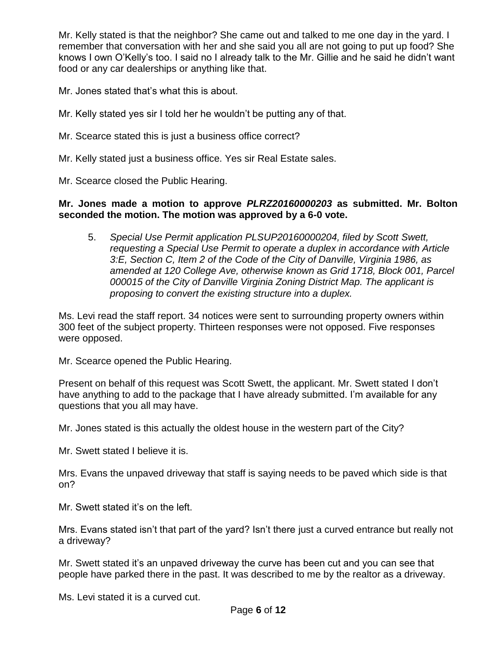Mr. Kelly stated is that the neighbor? She came out and talked to me one day in the yard. I remember that conversation with her and she said you all are not going to put up food? She knows I own O'Kelly's too. I said no I already talk to the Mr. Gillie and he said he didn't want food or any car dealerships or anything like that.

Mr. Jones stated that's what this is about.

- Mr. Kelly stated yes sir I told her he wouldn't be putting any of that.
- Mr. Scearce stated this is just a business office correct?
- Mr. Kelly stated just a business office. Yes sir Real Estate sales.
- Mr. Scearce closed the Public Hearing.

# **Mr. Jones made a motion to approve** *PLRZ20160000203* **as submitted. Mr. Bolton seconded the motion. The motion was approved by a 6-0 vote.**

5. *Special Use Permit application PLSUP20160000204, filed by Scott Swett, requesting a Special Use Permit to operate a duplex in accordance with Article 3:E, Section C, Item 2 of the Code of the City of Danville, Virginia 1986, as amended at 120 College Ave, otherwise known as Grid 1718, Block 001, Parcel 000015 of the City of Danville Virginia Zoning District Map. The applicant is proposing to convert the existing structure into a duplex.* 

Ms. Levi read the staff report. 34 notices were sent to surrounding property owners within 300 feet of the subject property. Thirteen responses were not opposed. Five responses were opposed.

Mr. Scearce opened the Public Hearing.

Present on behalf of this request was Scott Swett, the applicant. Mr. Swett stated I don't have anything to add to the package that I have already submitted. I'm available for any questions that you all may have.

Mr. Jones stated is this actually the oldest house in the western part of the City?

Mr. Swett stated I believe it is.

Mrs. Evans the unpaved driveway that staff is saying needs to be paved which side is that on?

Mr. Swett stated it's on the left.

Mrs. Evans stated isn't that part of the yard? Isn't there just a curved entrance but really not a driveway?

Mr. Swett stated it's an unpaved driveway the curve has been cut and you can see that people have parked there in the past. It was described to me by the realtor as a driveway.

Ms. Levi stated it is a curved cut.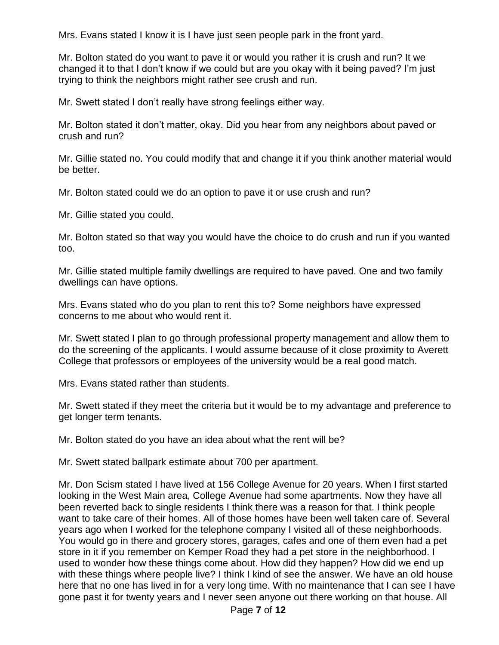Mrs. Evans stated I know it is I have just seen people park in the front yard.

Mr. Bolton stated do you want to pave it or would you rather it is crush and run? It we changed it to that I don't know if we could but are you okay with it being paved? I'm just trying to think the neighbors might rather see crush and run.

Mr. Swett stated I don't really have strong feelings either way.

Mr. Bolton stated it don't matter, okay. Did you hear from any neighbors about paved or crush and run?

Mr. Gillie stated no. You could modify that and change it if you think another material would be better.

Mr. Bolton stated could we do an option to pave it or use crush and run?

Mr. Gillie stated you could.

Mr. Bolton stated so that way you would have the choice to do crush and run if you wanted too.

Mr. Gillie stated multiple family dwellings are required to have paved. One and two family dwellings can have options.

Mrs. Evans stated who do you plan to rent this to? Some neighbors have expressed concerns to me about who would rent it.

Mr. Swett stated I plan to go through professional property management and allow them to do the screening of the applicants. I would assume because of it close proximity to Averett College that professors or employees of the university would be a real good match.

Mrs. Evans stated rather than students.

Mr. Swett stated if they meet the criteria but it would be to my advantage and preference to get longer term tenants.

Mr. Bolton stated do you have an idea about what the rent will be?

Mr. Swett stated ballpark estimate about 700 per apartment.

Mr. Don Scism stated I have lived at 156 College Avenue for 20 years. When I first started looking in the West Main area, College Avenue had some apartments. Now they have all been reverted back to single residents I think there was a reason for that. I think people want to take care of their homes. All of those homes have been well taken care of. Several years ago when I worked for the telephone company I visited all of these neighborhoods. You would go in there and grocery stores, garages, cafes and one of them even had a pet store in it if you remember on Kemper Road they had a pet store in the neighborhood. I used to wonder how these things come about. How did they happen? How did we end up with these things where people live? I think I kind of see the answer. We have an old house here that no one has lived in for a very long time. With no maintenance that I can see I have gone past it for twenty years and I never seen anyone out there working on that house. All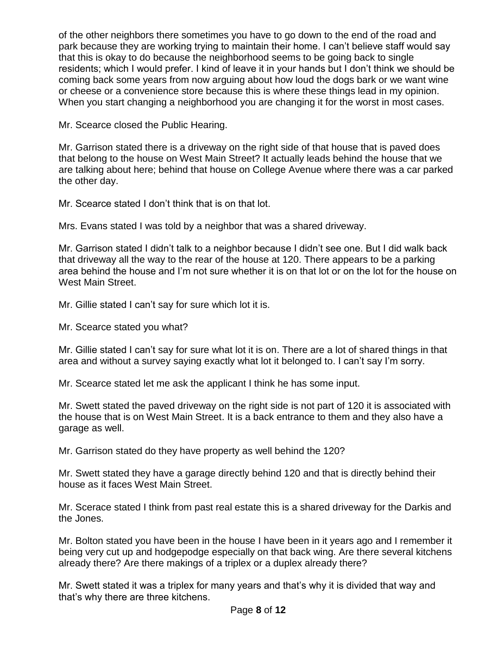of the other neighbors there sometimes you have to go down to the end of the road and park because they are working trying to maintain their home. I can't believe staff would say that this is okay to do because the neighborhood seems to be going back to single residents; which I would prefer. I kind of leave it in your hands but I don't think we should be coming back some years from now arguing about how loud the dogs bark or we want wine or cheese or a convenience store because this is where these things lead in my opinion. When you start changing a neighborhood you are changing it for the worst in most cases.

Mr. Scearce closed the Public Hearing.

Mr. Garrison stated there is a driveway on the right side of that house that is paved does that belong to the house on West Main Street? It actually leads behind the house that we are talking about here; behind that house on College Avenue where there was a car parked the other day.

Mr. Scearce stated I don't think that is on that lot.

Mrs. Evans stated I was told by a neighbor that was a shared driveway.

Mr. Garrison stated I didn't talk to a neighbor because I didn't see one. But I did walk back that driveway all the way to the rear of the house at 120. There appears to be a parking area behind the house and I'm not sure whether it is on that lot or on the lot for the house on West Main Street.

Mr. Gillie stated I can't say for sure which lot it is.

Mr. Scearce stated you what?

Mr. Gillie stated I can't say for sure what lot it is on. There are a lot of shared things in that area and without a survey saying exactly what lot it belonged to. I can't say I'm sorry.

Mr. Scearce stated let me ask the applicant I think he has some input.

Mr. Swett stated the paved driveway on the right side is not part of 120 it is associated with the house that is on West Main Street. It is a back entrance to them and they also have a garage as well.

Mr. Garrison stated do they have property as well behind the 120?

Mr. Swett stated they have a garage directly behind 120 and that is directly behind their house as it faces West Main Street.

Mr. Scerace stated I think from past real estate this is a shared driveway for the Darkis and the Jones.

Mr. Bolton stated you have been in the house I have been in it years ago and I remember it being very cut up and hodgepodge especially on that back wing. Are there several kitchens already there? Are there makings of a triplex or a duplex already there?

Mr. Swett stated it was a triplex for many years and that's why it is divided that way and that's why there are three kitchens.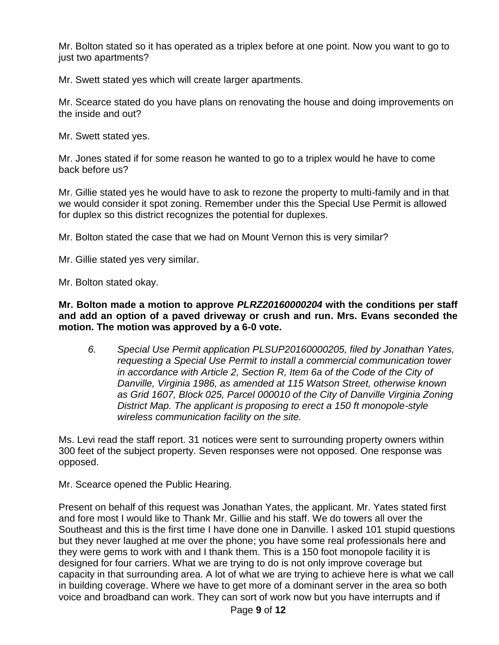Mr. Bolton stated so it has operated as a triplex before at one point. Now you want to go to just two apartments?

Mr. Swett stated yes which will create larger apartments.

Mr. Scearce stated do you have plans on renovating the house and doing improvements on the inside and out?

Mr. Swett stated yes.

Mr. Jones stated if for some reason he wanted to go to a triplex would he have to come back before us?

Mr. Gillie stated yes he would have to ask to rezone the property to multi-family and in that we would consider it spot zoning. Remember under this the Special Use Permit is allowed for duplex so this district recognizes the potential for duplexes.

Mr. Bolton stated the case that we had on Mount Vernon this is very similar?

Mr. Gillie stated yes very similar.

Mr. Bolton stated okay.

**Mr. Bolton made a motion to approve** *PLRZ20160000204* **with the conditions per staff and add an option of a paved driveway or crush and run. Mrs. Evans seconded the motion. The motion was approved by a 6-0 vote.**

*6. Special Use Permit application PLSUP20160000205, filed by Jonathan Yates, requesting a Special Use Permit to install a commercial communication tower in accordance with Article 2, Section R, Item 6a of the Code of the City of Danville, Virginia 1986, as amended at 115 Watson Street, otherwise known as Grid 1607, Block 025, Parcel 000010 of the City of Danville Virginia Zoning District Map. The applicant is proposing to erect a 150 ft monopole-style wireless communication facility on the site.*

Ms. Levi read the staff report. 31 notices were sent to surrounding property owners within 300 feet of the subject property. Seven responses were not opposed. One response was opposed.

Mr. Scearce opened the Public Hearing.

Present on behalf of this request was Jonathan Yates, the applicant. Mr. Yates stated first and fore most I would like to Thank Mr. Gillie and his staff. We do towers all over the Southeast and this is the first time I have done one in Danville. I asked 101 stupid questions but they never laughed at me over the phone; you have some real professionals here and they were gems to work with and I thank them. This is a 150 foot monopole facility it is designed for four carriers. What we are trying to do is not only improve coverage but capacity in that surrounding area. A lot of what we are trying to achieve here is what we call in building coverage. Where we have to get more of a dominant server in the area so both voice and broadband can work. They can sort of work now but you have interrupts and if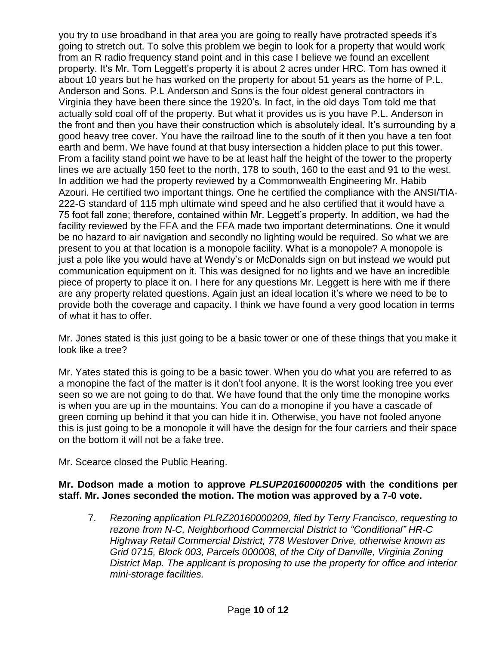you try to use broadband in that area you are going to really have protracted speeds it's going to stretch out. To solve this problem we begin to look for a property that would work from an R radio frequency stand point and in this case I believe we found an excellent property. It's Mr. Tom Leggett's property it is about 2 acres under HRC. Tom has owned it about 10 years but he has worked on the property for about 51 years as the home of P.L. Anderson and Sons. P.L Anderson and Sons is the four oldest general contractors in Virginia they have been there since the 1920's. In fact, in the old days Tom told me that actually sold coal off of the property. But what it provides us is you have P.L. Anderson in the front and then you have their construction which is absolutely ideal. It's surrounding by a good heavy tree cover. You have the railroad line to the south of it then you have a ten foot earth and berm. We have found at that busy intersection a hidden place to put this tower. From a facility stand point we have to be at least half the height of the tower to the property lines we are actually 150 feet to the north, 178 to south, 160 to the east and 91 to the west. In addition we had the property reviewed by a Commonwealth Engineering Mr. Habib Azouri. He certified two important things. One he certified the compliance with the ANSI/TIA-222-G standard of 115 mph ultimate wind speed and he also certified that it would have a 75 foot fall zone; therefore, contained within Mr. Leggett's property. In addition, we had the facility reviewed by the FFA and the FFA made two important determinations. One it would be no hazard to air navigation and secondly no lighting would be required. So what we are present to you at that location is a monopole facility. What is a monopole? A monopole is just a pole like you would have at Wendy's or McDonalds sign on but instead we would put communication equipment on it. This was designed for no lights and we have an incredible piece of property to place it on. I here for any questions Mr. Leggett is here with me if there are any property related questions. Again just an ideal location it's where we need to be to provide both the coverage and capacity. I think we have found a very good location in terms of what it has to offer.

Mr. Jones stated is this just going to be a basic tower or one of these things that you make it look like a tree?

Mr. Yates stated this is going to be a basic tower. When you do what you are referred to as a monopine the fact of the matter is it don't fool anyone. It is the worst looking tree you ever seen so we are not going to do that. We have found that the only time the monopine works is when you are up in the mountains. You can do a monopine if you have a cascade of green coming up behind it that you can hide it in. Otherwise, you have not fooled anyone this is just going to be a monopole it will have the design for the four carriers and their space on the bottom it will not be a fake tree.

Mr. Scearce closed the Public Hearing.

# **Mr. Dodson made a motion to approve** *PLSUP20160000205* **with the conditions per staff. Mr. Jones seconded the motion. The motion was approved by a 7-0 vote.**

7. *Rezoning application PLRZ20160000209, filed by Terry Francisco, requesting to rezone from N-C, Neighborhood Commercial District to "Conditional" HR-C Highway Retail Commercial District, 778 Westover Drive, otherwise known as Grid 0715, Block 003, Parcels 000008, of the City of Danville, Virginia Zoning District Map. The applicant is proposing to use the property for office and interior mini-storage facilities.*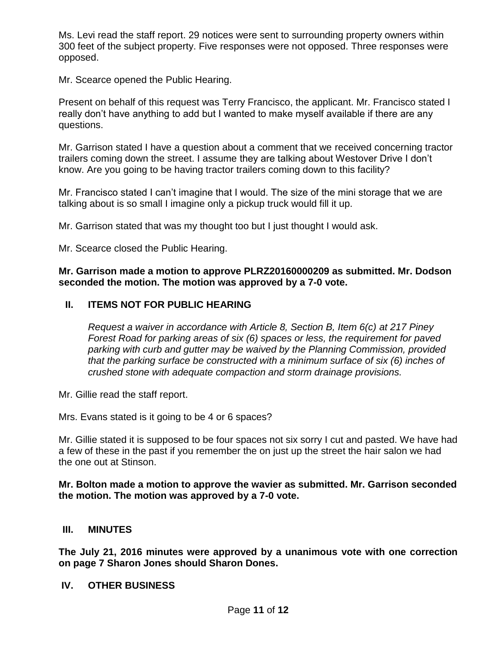Ms. Levi read the staff report. 29 notices were sent to surrounding property owners within 300 feet of the subject property. Five responses were not opposed. Three responses were opposed.

Mr. Scearce opened the Public Hearing.

Present on behalf of this request was Terry Francisco, the applicant. Mr. Francisco stated I really don't have anything to add but I wanted to make myself available if there are any questions.

Mr. Garrison stated I have a question about a comment that we received concerning tractor trailers coming down the street. I assume they are talking about Westover Drive I don't know. Are you going to be having tractor trailers coming down to this facility?

Mr. Francisco stated I can't imagine that I would. The size of the mini storage that we are talking about is so small I imagine only a pickup truck would fill it up.

Mr. Garrison stated that was my thought too but I just thought I would ask.

Mr. Scearce closed the Public Hearing.

**Mr. Garrison made a motion to approve PLRZ20160000209 as submitted. Mr. Dodson seconded the motion. The motion was approved by a 7-0 vote.**

#### **II. ITEMS NOT FOR PUBLIC HEARING**

*Request a waiver in accordance with Article 8, Section B, Item 6(c) at 217 Piney Forest Road for parking areas of six (6) spaces or less, the requirement for paved parking with curb and gutter may be waived by the Planning Commission, provided that the parking surface be constructed with a minimum surface of six (6) inches of crushed stone with adequate compaction and storm drainage provisions.* 

Mr. Gillie read the staff report.

Mrs. Evans stated is it going to be 4 or 6 spaces?

Mr. Gillie stated it is supposed to be four spaces not six sorry I cut and pasted. We have had a few of these in the past if you remember the on just up the street the hair salon we had the one out at Stinson.

**Mr. Bolton made a motion to approve the wavier as submitted. Mr. Garrison seconded the motion. The motion was approved by a 7-0 vote.**

#### **III. MINUTES**

**The July 21, 2016 minutes were approved by a unanimous vote with one correction on page 7 Sharon Jones should Sharon Dones.**

#### **IV. OTHER BUSINESS**